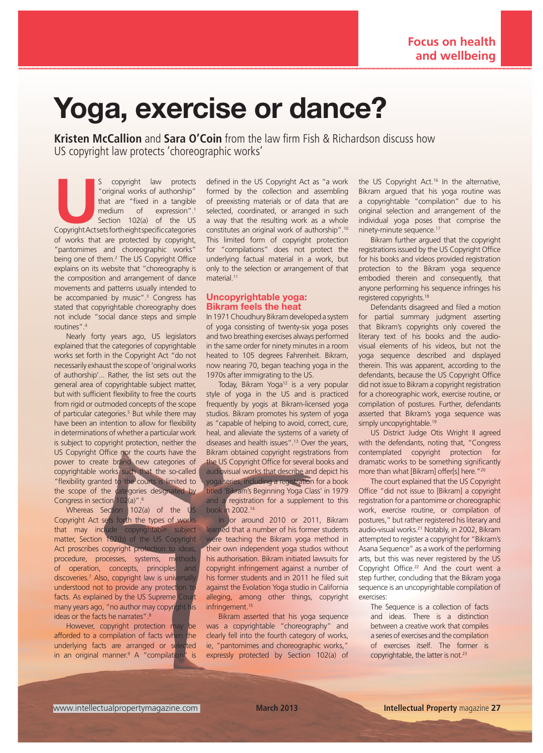# Yoga, exercise or dance?

**Kristen McCallion** and **Sara O'Coin** from the law firm Fish & Richardson discuss how US copyright law protects 'choreographic works'

S copyright law protects<br>
"original works of authorship"<br>
that are "fixed in a tangible<br>
medium of expression".<sup>1</sup><br>
Section 102(a) of the US<br>
Copyright Actsets fortheight specific categories "original works of authorship" that are "fixed in a tangible medium of expression".1 Section 102(a) of the US of works that are protected by copyright, "pantomimes and choreographic works" being one of them.<sup>2</sup> The US Copyright Office explains on its website that "choreography is the composition and arrangement of dance movements and patterns usually intended to be accompanied by music".<sup>3</sup> Congress has stated that copyrightable choreography does not include "social dance steps and simple routines".4

Nearly forty years ago, US legislators explained that the categories of copyrightable works set forth in the Copyright Act "do not necessarily exhaust the scope of 'original works of authorship'... Rather, the list sets out the general area of copyrightable subject matter, but with sufficient flexibility to free the courts from rigid or outmoded concepts of the scope of particular categories.<sup>5</sup> But while there may have been an intention to allow for flexibility in determinations of whether a particular work is subject to copyright protection, neither the US Copyright Office nor the courts have the power to create brand new categories of copyrightable works such that the so-called "flexibility granted to the courts is limited to the scope of the categories designated by Congress in section 102(a)".<sup>6</sup>

Whereas Section 102(a) of the US Copyright Act sets forth the types of works that may include copyrightable subject matter, Section 102(b) of the US Copyright Act proscribes copyright protection to ideas, procedure, processes, systems, methods of operation, concepts, principles and discoveries.<sup>7</sup> Also, copyright law is universally, understood not to provide any protection to facts. As explained by the US Supreme Court many years ago, "no author may copyright his ideas or the facts he narrates".<sup>8</sup>

However, copyright protection may be afforded to a compilation of facts when the underlying facts are arranged or selected in an original manner.<sup>9</sup> A "compilation" is defined in the US Copyright Act as "a work formed by the collection and assembling of preexisting materials or of data that are selected, coordinated, or arranged in such a way that the resulting work as a whole constitutes an original work of authorship".10 This limited form of copyright protection for "compilations" does not protect the underlying factual material in a work, but only to the selection or arrangement of that material.<sup>11</sup>

## Uncopyrightable yoga: Bikram feels the heat

In 1971 Choudhury Bikram developed a system of yoga consisting of twenty-six yoga poses and two breathing exercises always performed in the same order for ninety minutes in a room heated to 105 degrees Fahrenheit. Bikram, now nearing 70, began teaching yoga in the 1970s after immigrating to the US.

Today, Bikram Yoga<sup>12</sup> is a very popular style of yoga in the US and is practiced frequently by yogis at Bikram-licensed yoga studios. Bikram promotes his system of yoga as "capable of helping to avoid, correct, cure, heal, and alleviate the systems of a variety of diseases and health issues".13 Over the years, Bikram obtained copyright registrations from the US Copyright Office for several books and audiovisual works that describe and depict his yoga series, including a registration for a book titled 'Bikram's Beginning Yoga Class' in 1979 and a registration for a supplement to this book in 2002.14

In or around 2010 or 2011, Bikram learned that a number of his former students were teaching the Bikram yoga method in their own independent yoga studios without his authorisation. Bikram initiated lawsuits for copyright infringement against a number of his former students and in 2011 he filed suit against the Evolation Yoga studio in California alleging, among other things, copyright infringement.<sup>15</sup>

Bikram asserted that his yoga sequence was a copyrightable "choreography" and clearly fell into the fourth category of works, ie, "pantomimes and choreographic works," expressly protected by Section 102(a) of the US Copyright Act.<sup>16</sup> In the alternative, Bikram argued that his yoga routine was a copyrightable "compilation" due to his original selection and arrangement of the individual yoga poses that comprise the ninety-minute sequence.17

Bikram further argued that the copyright registrations issued by the US Copyright Office for his books and videos provided registration protection to the Bikram yoga sequence embodied therein and consequently, that anyone performing his sequence infringes his registered copyrights.18

Defendants disagreed and filed a motion for partial summary judgment asserting that Bikram's copyrights only covered the literary text of his books and the audiovisual elements of his videos, but not the yoga sequence described and displayed therein. This was apparent, according to the defendants, because the US Copyright Office did not issue to Bikram a copyright registration for a choreographic work, exercise routine, or compilation of postures. Further, defendants asserted that Bikram's yoga sequence was simply uncopyrightable.<sup>19</sup>

US District Judge Otis Wright II agreed with the defendants, noting that, "Congress contemplated copyright protection for dramatic works to be something significantly more than what [Bikram] offer[s] here."20

The court explained that the US Copyright Office "did not issue to [Bikram] a copyright registration for a pantomime or choreographic work, exercise routine, or compilation of postures," but rather registered his literary and audio-visual works.21 Notably, in 2002, Bikram attempted to register a copyright for "Bikram's Asana Sequence" as a work of the performing arts, but this was never registered by the US Copyright Office.<sup>22</sup> And the court went a step further, concluding that the Bikram yoga sequence is an uncopyrightable compilation of exercises:

The Sequence is a collection of facts and ideas. There is a distinction between a creative work that compiles a series of exercises and the compilation of exercises itself. The former is copyrightable, the latter is not.<sup>23</sup>